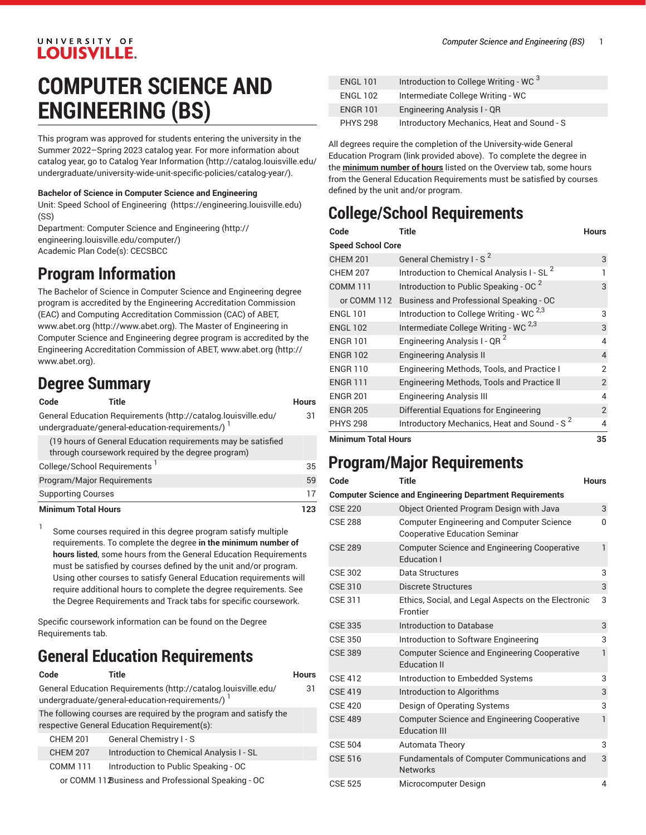### UNIVERSITY OF **LOUISVILLE.**

# **COMPUTER SCIENCE AND ENGINEERING (BS)**

This program was approved for students entering the university in the Summer 2022–Spring 2023 catalog year. For more information about catalog year, go to Catalog Year [Information](http://catalog.louisville.edu/undergraduate/university-wide-unit-specific-policies/catalog-year/) ([http://catalog.louisville.edu/](http://catalog.louisville.edu/undergraduate/university-wide-unit-specific-policies/catalog-year/) [undergraduate/university-wide-unit-specific-policies/catalog-year/](http://catalog.louisville.edu/undergraduate/university-wide-unit-specific-policies/catalog-year/)).

#### **Bachelor of Science in Computer Science and Engineering**

Unit: [Speed School of Engineering](https://engineering.louisville.edu) (<https://engineering.louisville.edu>) (SS)

Department: [Computer Science and Engineering](http://engineering.louisville.edu/computer/) [\(http://](http://engineering.louisville.edu/computer/) [engineering.louisville.edu/computer/](http://engineering.louisville.edu/computer/)) Academic Plan Code(s): CECSBCC

### **Program Information**

The Bachelor of Science in Computer Science and Engineering degree program is accredited by the Engineering Accreditation Commission (EAC) and Computing Accreditation Commission (CAC) of ABET, [www.abet.org \(http://www.abet.org](http://www.abet.org)). The Master of Engineering in Computer Science and Engineering degree program is accredited by the Engineering Accreditation Commission of ABET, [www.abet.org \(http://](http://www.abet.org) [www.abet.org\)](http://www.abet.org).

### **Degree Summary**

#### **Code Title Hours**

31

35

General Education [Requirements](http://catalog.louisville.edu/undergraduate/general-education-requirements/) ([http://catalog.louisville.edu/](http://catalog.louisville.edu/undergraduate/general-education-requirements/) [undergraduate/general-education-requirements/\)](http://catalog.louisville.edu/undergraduate/general-education-requirements/) 1

(19 hours of General Education requirements may be satisfied through coursework required by the degree program) College/School Requirements 1

| <b>Minimum Total Hours</b> | 123 |
|----------------------------|-----|
| <b>Supporting Courses</b>  |     |
| Program/Major Reguirements | 59  |

1 Some courses required in this degree program satisfy multiple requirements. To complete the degree **in the minimum number of hours listed**, some hours from the General Education Requirements must be satisfied by courses defined by the unit and/or program. Using other courses to satisfy General Education requirements will require additional hours to complete the degree requirements. See the Degree Requirements and Track tabs for specific coursework.

Specific coursework information can be found on the Degree Requirements tab.

### **General Education Requirements**

| Code            | Title                                                                                                              | <b>Hours</b> |
|-----------------|--------------------------------------------------------------------------------------------------------------------|--------------|
|                 | General Education Requirements (http://catalog.louisville.edu/<br>undergraduate/general-education-requirements/) 1 | 31           |
|                 | The following courses are required by the program and satisfy the<br>respective General Education Requirement(s):  |              |
| <b>CHEM 201</b> | General Chemistry I - S                                                                                            |              |
| <b>CHEM 207</b> | Introduction to Chemical Analysis I - SL                                                                           |              |
| <b>COMM 111</b> | Introduction to Public Speaking - OC                                                                               |              |
|                 | or COMM 11 Business and Professional Speaking - OC                                                                 |              |

| <b>ENGL 101</b> | Introduction to College Writing - WC 3     |
|-----------------|--------------------------------------------|
| <b>ENGL 102</b> | Intermediate College Writing - WC          |
| <b>ENGR 101</b> | Engineering Analysis I - QR                |
| <b>PHYS 298</b> | Introductory Mechanics, Heat and Sound - S |

All degrees require the completion of the University-wide General Education Program (link provided above). To complete the degree in the **minimum number of hours** listed on the Overview tab, some hours from the General Education Requirements must be satisfied by courses defined by the unit and/or program.

## **College/School Requirements**

| Code                       | Title                                                   | <b>Hours</b>   |
|----------------------------|---------------------------------------------------------|----------------|
| <b>Speed School Core</b>   |                                                         |                |
| <b>CHEM 201</b>            | General Chemistry I - S <sup>2</sup>                    | 3              |
| <b>CHEM 207</b>            | Introduction to Chemical Analysis I - SL <sup>2</sup>   |                |
| <b>COMM 111</b>            | Introduction to Public Speaking - OC <sup>2</sup>       | 3              |
|                            | or COMM 112 Business and Professional Speaking - OC     |                |
| <b>ENGL 101</b>            | Introduction to College Writing - WC <sup>2,3</sup>     | 3              |
| <b>ENGL 102</b>            | Intermediate College Writing - WC <sup>2,3</sup>        | 3              |
| <b>ENGR 101</b>            | Engineering Analysis I - QR <sup>2</sup>                | 4              |
| <b>ENGR 102</b>            | <b>Engineering Analysis II</b>                          | $\overline{4}$ |
| <b>ENGR 110</b>            | Engineering Methods, Tools, and Practice I              | 2              |
| <b>ENGR 111</b>            | Engineering Methods, Tools and Practice II              | $\overline{2}$ |
| <b>ENGR 201</b>            | <b>Engineering Analysis III</b>                         | 4              |
| <b>ENGR 205</b>            | Differential Equations for Engineering                  | $\overline{2}$ |
| <b>PHYS 298</b>            | Introductory Mechanics, Heat and Sound - S <sup>2</sup> | 4              |
| <b>Minimum Total Hours</b> |                                                         | 35             |

### **Program/Major Requirements**

| Code           | Title                                                                                    | <b>Hours</b>            |
|----------------|------------------------------------------------------------------------------------------|-------------------------|
|                | <b>Computer Science and Engineering Department Requirements</b>                          |                         |
| <b>CSE 220</b> | Object Oriented Program Design with Java                                                 | 3                       |
| <b>CSE 288</b> | <b>Computer Engineering and Computer Science</b><br><b>Cooperative Education Seminar</b> | $\Omega$                |
| <b>CSE 289</b> | <b>Computer Science and Engineering Cooperative</b><br><b>Education I</b>                | $\mathbf{1}$            |
| <b>CSE 302</b> | Data Structures                                                                          | 3                       |
| <b>CSE 310</b> | <b>Discrete Structures</b>                                                               | 3                       |
| <b>CSE 311</b> | Ethics, Social, and Legal Aspects on the Electronic<br>Frontier                          | 3                       |
| <b>CSE 335</b> | Introduction to Database                                                                 | 3                       |
| <b>CSE 350</b> | Introduction to Software Engineering                                                     | 3                       |
| <b>CSE 389</b> | <b>Computer Science and Engineering Cooperative</b><br><b>Education II</b>               | 1                       |
| <b>CSE 412</b> | Introduction to Embedded Systems                                                         | 3                       |
| <b>CSE 419</b> | Introduction to Algorithms                                                               | 3                       |
| <b>CSE 420</b> | Design of Operating Systems                                                              | 3                       |
| <b>CSE 489</b> | <b>Computer Science and Engineering Cooperative</b><br><b>Education III</b>              | 1                       |
| <b>CSE 504</b> | <b>Automata Theory</b>                                                                   | 3                       |
| <b>CSE 516</b> | Fundamentals of Computer Communications and<br><b>Networks</b>                           | 3                       |
| <b>CSE 525</b> | Microcomputer Design                                                                     | $\overline{\mathbf{A}}$ |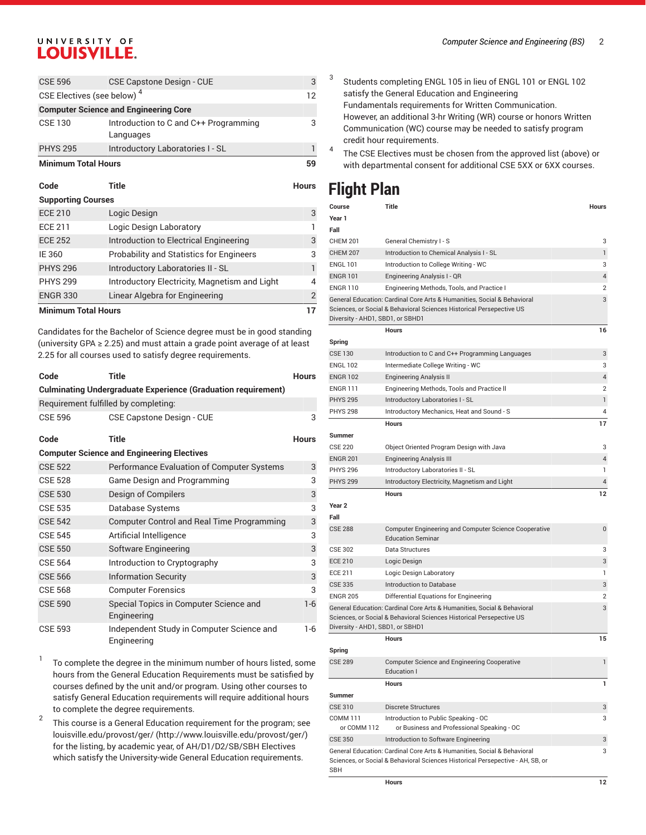### UNIVERSITY OF **LOUISVILLE.**

| Code                                   | Title                                              | Hours |
|----------------------------------------|----------------------------------------------------|-------|
| <b>Minimum Total Hours</b>             |                                                    | 59    |
| <b>PHYS 295</b>                        | Introductory Laboratories I - SL                   |       |
| CSE 130                                | Introduction to C and C++ Programming<br>Languages | 3     |
|                                        | <b>Computer Science and Engineering Core</b>       |       |
| CSE Electives (see below) <sup>4</sup> |                                                    | 12    |
| <b>CSE 596</b>                         | <b>CSE Capstone Design - CUE</b>                   | 3     |

| <b>Supporting Courses</b>  |                                                 |               |
|----------------------------|-------------------------------------------------|---------------|
| <b>ECE 210</b>             | Logic Design                                    | 3             |
| <b>ECE 211</b>             | Logic Design Laboratory                         |               |
| <b>ECE 252</b>             | Introduction to Electrical Engineering          | 3             |
| IE 360                     | <b>Probability and Statistics for Engineers</b> | 3             |
| <b>PHYS 296</b>            | Introductory Laboratories II - SL               |               |
| <b>PHYS 299</b>            | Introductory Electricity, Magnetism and Light   | 4             |
| <b>ENGR 330</b>            | Linear Algebra for Engineering                  | $\mathcal{P}$ |
| <b>Minimum Total Hours</b> |                                                 |               |

Candidates for the Bachelor of Science degree must be in good standing (university GPA ≥ 2.25) and must attain a grade point average of at least 2.25 for all courses used to satisfy degree requirements.

| Code           | <b>Title</b>                                                         | <b>Hours</b> |
|----------------|----------------------------------------------------------------------|--------------|
|                | <b>Culminating Undergraduate Experience (Graduation requirement)</b> |              |
|                | Requirement fulfilled by completing:                                 |              |
| <b>CSE 596</b> | <b>CSE Capstone Design - CUE</b>                                     | 3            |
| Code           | Title                                                                | <b>Hours</b> |
|                | <b>Computer Science and Engineering Electives</b>                    |              |
| <b>CSE 522</b> | Performance Evaluation of Computer Systems                           | 3            |
| <b>CSE 528</b> | Game Design and Programming                                          | 3            |
| <b>CSE 530</b> | Design of Compilers                                                  | 3            |
| <b>CSE 535</b> | Database Systems                                                     | 3            |
| <b>CSE 542</b> | <b>Computer Control and Real Time Programming</b>                    | 3            |
| <b>CSE 545</b> | Artificial Intelligence                                              | 3            |
| <b>CSE 550</b> | Software Engineering                                                 | 3            |
| <b>CSE 564</b> | Introduction to Cryptography                                         | 3            |
| <b>CSE 566</b> | <b>Information Security</b>                                          | 3            |
| <b>CSE 568</b> | <b>Computer Forensics</b>                                            | 3            |
| <b>CSE 590</b> | Special Topics in Computer Science and<br>Engineering                | $1-6$        |
| <b>CSE 593</b> | Independent Study in Computer Science and<br>Engineering             | 1-6          |

1 To complete the degree in the minimum number of hours listed, some hours from the General Education Requirements must be satisfied by courses defined by the unit and/or program. Using other courses to satisfy General Education requirements will require additional hours to complete the degree requirements.

2 This course is a General Education requirement for the program; see [louisville.edu/provost/ger/ \(http://www.louisville.edu/provost/ger/](http://www.louisville.edu/provost/ger/)) for the listing, by academic year, of AH/D1/D2/SB/SBH Electives which satisfy the University-wide General Education requirements.

- 3 Students completing ENGL 105 in lieu of ENGL 101 or ENGL 102 satisfy the General Education and Engineering Fundamentals requirements for Written Communication. However, an additional 3-hr Writing (WR) course or honors Written Communication (WC) course may be needed to satisfy program credit hour requirements.
- 4 The CSE Electives must be chosen from the approved list (above) or with departmental consent for additional CSE 5XX or 6XX courses.

### **Flight Plan**

| Course                           | Title                                                                                                                                           | Hours          |
|----------------------------------|-------------------------------------------------------------------------------------------------------------------------------------------------|----------------|
| Year 1                           |                                                                                                                                                 |                |
| Fall                             |                                                                                                                                                 |                |
| <b>CHEM 201</b>                  | General Chemistry I - S                                                                                                                         | 3              |
| <b>CHEM 207</b>                  | Introduction to Chemical Analysis I - SL                                                                                                        | 1              |
| ENGL 101                         | Introduction to College Writing - WC                                                                                                            | 3              |
| <b>ENGR 101</b>                  | Engineering Analysis I - QR                                                                                                                     | 4              |
| <b>ENGR 110</b>                  | Engineering Methods, Tools, and Practice I                                                                                                      | 2              |
| Diversity - AHD1, SBD1, or SBHD1 | General Education: Cardinal Core Arts & Humanities, Social & Behavioral<br>Sciences, or Social & Behavioral Sciences Historical Persepective US | 3              |
|                                  | <b>Hours</b>                                                                                                                                    | 16             |
| Spring                           |                                                                                                                                                 |                |
| <b>CSE 130</b>                   | Introduction to C and C++ Programming Languages                                                                                                 | 3              |
| ENGL 102                         | Intermediate College Writing - WC                                                                                                               | 3              |
| ENGR 102                         | Engineering Analysis II                                                                                                                         | 4              |
| ENGR 111                         | Engineering Methods, Tools and Practice II                                                                                                      | $\overline{2}$ |
| PHYS 295                         | Introductory Laboratories I - SL                                                                                                                | 1              |
| <b>PHYS 298</b>                  | Introductory Mechanics, Heat and Sound - S                                                                                                      | 4              |
|                                  | <b>Hours</b>                                                                                                                                    | 17             |
| Summer                           |                                                                                                                                                 |                |
| <b>CSE 220</b>                   | Object Oriented Program Design with Java                                                                                                        | 3              |
| ENGR 201                         | Engineering Analysis III                                                                                                                        | 4              |
| <b>PHYS 296</b>                  | Introductory Laboratories II - SL                                                                                                               | 1              |
| <b>PHYS 299</b>                  | Introductory Electricity, Magnetism and Light                                                                                                   | 4              |
|                                  | <b>Hours</b>                                                                                                                                    | 12             |
| Year 2                           |                                                                                                                                                 |                |
| Fall                             |                                                                                                                                                 |                |
| <b>CSE 288</b>                   |                                                                                                                                                 | 0              |
|                                  | Computer Engineering and Computer Science Cooperative<br><b>Education Seminar</b>                                                               |                |
| <b>CSE 302</b>                   | Data Structures                                                                                                                                 | 3              |
| ECE 210                          | Logic Design                                                                                                                                    | 3              |
| ECE 211                          | Logic Design Laboratory                                                                                                                         | 1              |
| <b>CSE 335</b>                   | Introduction to Database                                                                                                                        | 3              |
| <b>ENGR 205</b>                  | Differential Equations for Engineering                                                                                                          | $\overline{2}$ |
|                                  | General Education: Cardinal Core Arts & Humanities, Social & Behavioral                                                                         | 3              |
|                                  | Sciences, or Social & Behavioral Sciences Historical Persepective US                                                                            |                |
| Diversity - AHD1, SBD1, or SBHD1 |                                                                                                                                                 |                |
|                                  | <b>Hours</b>                                                                                                                                    | 15             |
| Spring                           |                                                                                                                                                 |                |
| <b>CSE 289</b>                   | <b>Computer Science and Engineering Cooperative</b><br>Education I                                                                              | 1              |
|                                  | Hours                                                                                                                                           | 1              |
| Summer                           |                                                                                                                                                 |                |
| CSE 310                          | Discrete Structures                                                                                                                             | 3              |
| COMM 111                         | Introduction to Public Speaking - OC                                                                                                            | 3              |
| or COMM 112                      | or Business and Professional Speaking - OC                                                                                                      |                |
| <b>CSE 350</b>                   | Introduction to Software Engineering                                                                                                            | 3              |
|                                  | General Education: Cardinal Core Arts & Humanities, Social & Behavioral                                                                         | 3              |
| SBH                              | Sciences, or Social & Behavioral Sciences Historical Persepective - AH, SB, or                                                                  |                |
|                                  |                                                                                                                                                 |                |
|                                  | Hours                                                                                                                                           | 12             |